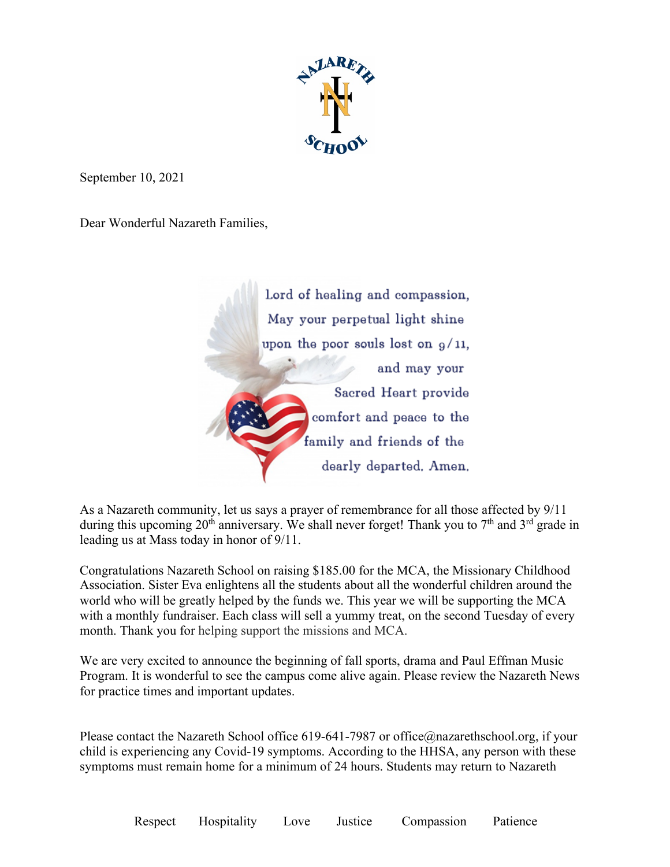

September 10, 2021

Dear Wonderful Nazareth Families,



As a Nazareth community, let us says a prayer of remembrance for all those affected by 9/11 during this upcoming 20<sup>th</sup> anniversary. We shall never forget! Thank you to  $7<sup>th</sup>$  and  $3<sup>rd</sup>$  grade in leading us at Mass today in honor of 9/11.

Congratulations Nazareth School on raising \$185.00 for the MCA, the Missionary Childhood Association. Sister Eva enlightens all the students about all the wonderful children around the world who will be greatly helped by the funds we. This year we will be supporting the MCA with a monthly fundraiser. Each class will sell a yummy treat, on the second Tuesday of every month. Thank you for helping support the missions and MCA.

We are very excited to announce the beginning of fall sports, drama and Paul Effman Music Program. It is wonderful to see the campus come alive again. Please review the Nazareth News for practice times and important updates.

Please contact the Nazareth School office 619-641-7987 or office@nazarethschool.org, if your child is experiencing any Covid-19 symptoms. According to the HHSA, any person with these symptoms must remain home for a minimum of 24 hours. Students may return to Nazareth